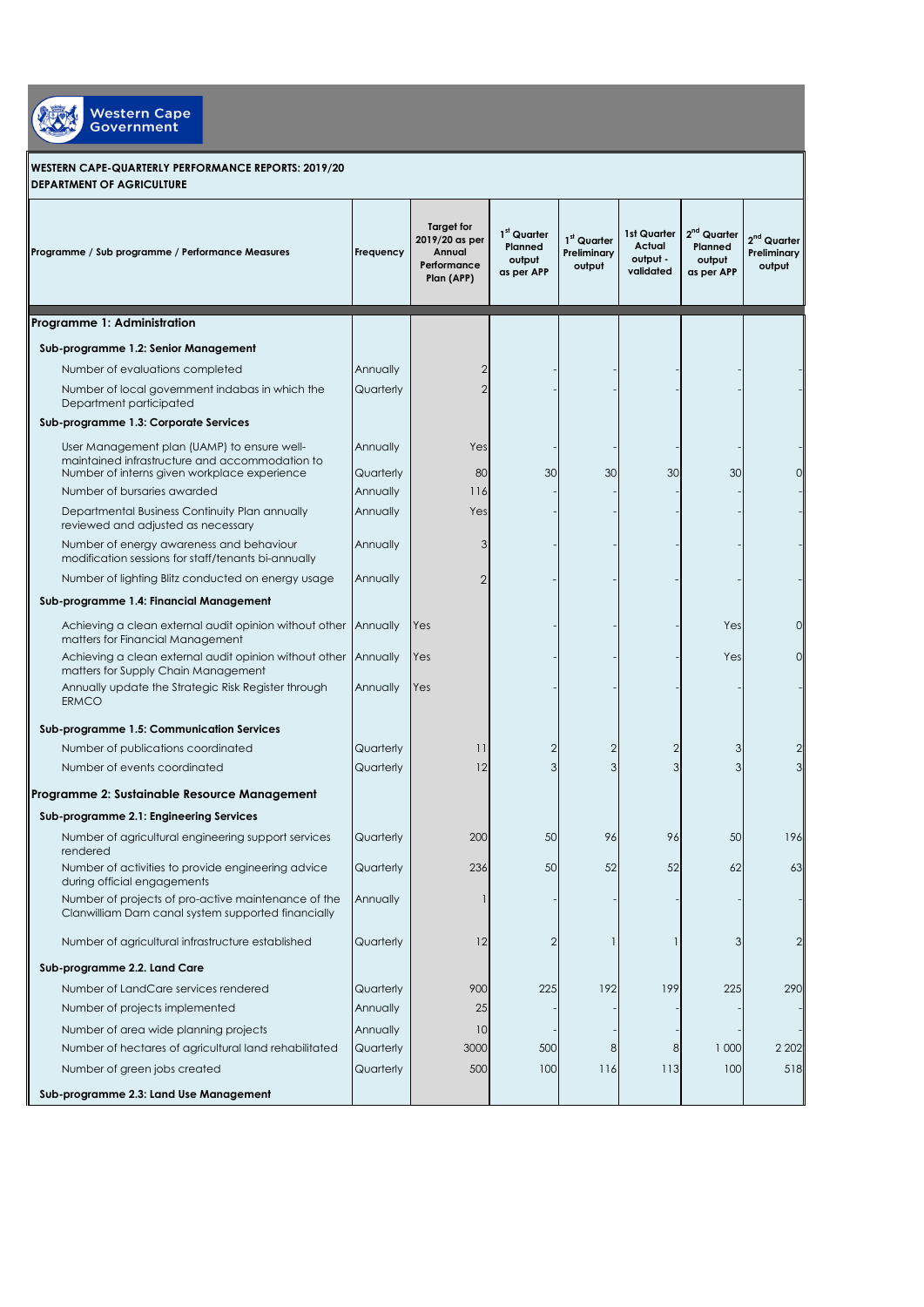

## **WESTERN CAPE-QUARTERLY PERFORMANCE REPORTS: 2019/20 DEPARTMENT OF AGRICULTURE**

| Programme / Sub programme / Performance Measures                                                                                              | Frequency             | <b>Target for</b><br>2019/20 as per<br>Annual<br>Performance<br>Plan (APP) | 1 <sup>st</sup> Quarter<br>Planned<br>output<br>as per APP | $1st$ Quarter<br>Preliminary<br>output | 1st Quarter<br>Actual<br>output -<br>validated | $2nd$ Quarter<br>Planned<br>output<br>as per APP | $2nd$ Quarter<br>Preliminary<br>output |
|-----------------------------------------------------------------------------------------------------------------------------------------------|-----------------------|----------------------------------------------------------------------------|------------------------------------------------------------|----------------------------------------|------------------------------------------------|--------------------------------------------------|----------------------------------------|
| Programme 1: Administration                                                                                                                   |                       |                                                                            |                                                            |                                        |                                                |                                                  |                                        |
| Sub-programme 1.2: Senior Management                                                                                                          |                       |                                                                            |                                                            |                                        |                                                |                                                  |                                        |
| Number of evaluations completed                                                                                                               | Annually              | 2                                                                          |                                                            |                                        |                                                |                                                  |                                        |
| Number of local government indabas in which the<br>Department participated                                                                    | Quarterly             | $\overline{2}$                                                             |                                                            |                                        |                                                |                                                  |                                        |
| Sub-programme 1.3: Corporate Services                                                                                                         |                       |                                                                            |                                                            |                                        |                                                |                                                  |                                        |
| User Management plan (UAMP) to ensure well-<br>maintained infrastructure and accommodation to<br>Number of interns given workplace experience | Annually<br>Quarterly | Yes<br>80                                                                  | 30                                                         | 30                                     | 30                                             | 30                                               |                                        |
| Number of bursaries awarded                                                                                                                   | Annually              | 116                                                                        |                                                            |                                        |                                                |                                                  |                                        |
| Departmental Business Continuity Plan annually<br>reviewed and adjusted as necessary                                                          | Annually              | Yes                                                                        |                                                            |                                        |                                                |                                                  |                                        |
| Number of energy awareness and behaviour<br>modification sessions for staff/tenants bi-annually                                               | Annually              | 3                                                                          |                                                            |                                        |                                                |                                                  |                                        |
| Number of lighting Blitz conducted on energy usage                                                                                            | Annually              | $\overline{2}$                                                             |                                                            |                                        |                                                |                                                  |                                        |
| Sub-programme 1.4: Financial Management                                                                                                       |                       |                                                                            |                                                            |                                        |                                                |                                                  |                                        |
| Achieving a clean external audit opinion without other<br>matters for Financial Management                                                    | Annually              | Yes                                                                        |                                                            |                                        |                                                | Yes                                              | 0                                      |
| Achieving a clean external audit opinion without other<br>matters for Supply Chain Management                                                 | Annually              | Yes                                                                        |                                                            |                                        |                                                | Yes                                              | 0                                      |
| Annually update the Strategic Risk Register through<br><b>ERMCO</b>                                                                           | Annually              | Yes                                                                        |                                                            |                                        |                                                |                                                  |                                        |
| Sub-programme 1.5: Communication Services                                                                                                     |                       |                                                                            |                                                            |                                        |                                                |                                                  |                                        |
| Number of publications coordinated                                                                                                            | Quarterly             | $\overline{11}$                                                            | 2                                                          | $\overline{2}$                         | $\overline{2}$                                 | 3                                                |                                        |
| Number of events coordinated                                                                                                                  | Quarterly             | 12                                                                         | 3                                                          | 3                                      | 3                                              | 3                                                |                                        |
| Programme 2: Sustainable Resource Management                                                                                                  |                       |                                                                            |                                                            |                                        |                                                |                                                  |                                        |
| Sub-programme 2.1: Engineering Services                                                                                                       |                       |                                                                            |                                                            |                                        |                                                |                                                  |                                        |
| Number of agricultural engineering support services<br>rendered                                                                               | Quarterly             | 200                                                                        | 50                                                         | 96                                     | 96                                             | 50                                               | 196                                    |
| Number of activities to provide engineering advice<br>during official engagements                                                             | Quarterly             | 236                                                                        | 50                                                         | 52                                     | 52                                             | 62                                               | 63                                     |
| Number of projects of pro-active maintenance of the<br>Clanwilliam Dam canal system supported financially                                     | Annually              |                                                                            |                                                            |                                        |                                                |                                                  |                                        |
| Number of agricultural infrastructure established                                                                                             | Quarterly             | 12                                                                         | 2                                                          |                                        |                                                | 3                                                | 2                                      |
| Sub-programme 2.2. Land Care                                                                                                                  |                       |                                                                            |                                                            |                                        |                                                |                                                  |                                        |
| Number of LandCare services rendered                                                                                                          | Quarterly             | 900                                                                        | 225                                                        | 192                                    | 199                                            | 225                                              | 290                                    |
| Number of projects implemented                                                                                                                | Annually              | 25                                                                         |                                                            |                                        |                                                |                                                  |                                        |
| Number of area wide planning projects                                                                                                         | Annually              | 10                                                                         |                                                            |                                        |                                                |                                                  |                                        |
| Number of hectares of agricultural land rehabilitated                                                                                         | Quarterly             | 3000                                                                       | 500                                                        | 8                                      | 8                                              | 1 000                                            | 2 2 0 2                                |
| Number of green jobs created                                                                                                                  | Quarterly             | 500                                                                        | 100                                                        | 116                                    | 113                                            | 100                                              | 518                                    |
| Sub-programme 2.3: Land Use Management                                                                                                        |                       |                                                                            |                                                            |                                        |                                                |                                                  |                                        |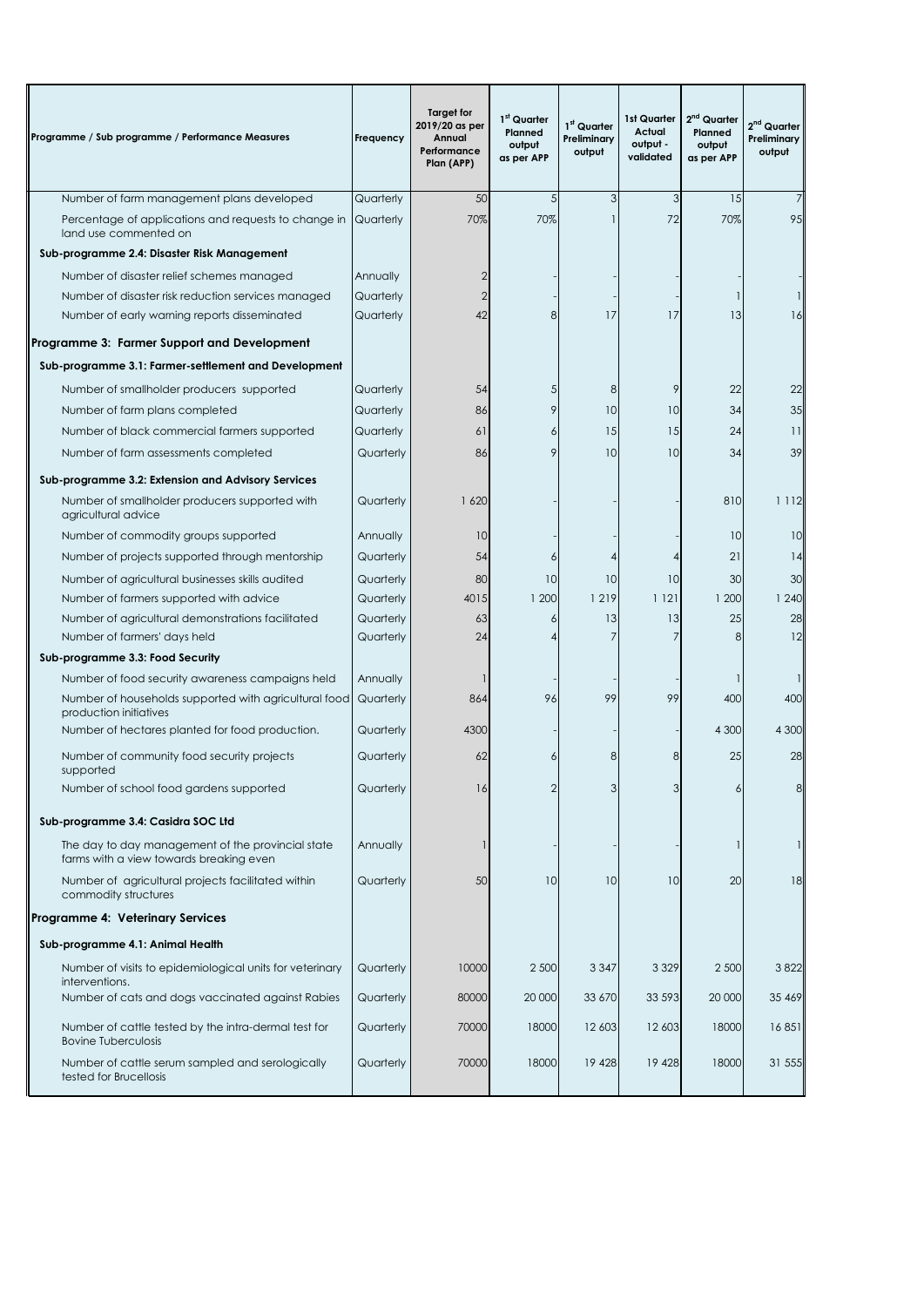| Programme / Sub programme / Performance Measures                                             | Frequency              | <b>Target for</b><br>2019/20 as per<br>Annual<br>Performance<br>Plan (APP) | 1st Quarter<br>Planned<br>output<br>as per APP | 1 <sup>st</sup> Quarter<br>Preliminary<br>output | 1st Quarter<br>Actual<br>output -<br>validated | 2 <sup>nd</sup> Quarter<br>Planned<br>output<br>as per APP | 2 <sup>nd</sup> Quarter<br>Preliminary<br>output |
|----------------------------------------------------------------------------------------------|------------------------|----------------------------------------------------------------------------|------------------------------------------------|--------------------------------------------------|------------------------------------------------|------------------------------------------------------------|--------------------------------------------------|
| Number of farm management plans developed                                                    | Quarterly              | 50                                                                         | 5                                              | 3                                                | 3                                              | 15                                                         |                                                  |
| Percentage of applications and requests to change in<br>land use commented on                | Quarterly              | 70%                                                                        | 70%                                            |                                                  | 72                                             | 70%                                                        | 95                                               |
| Sub-programme 2.4: Disaster Risk Management                                                  |                        |                                                                            |                                                |                                                  |                                                |                                                            |                                                  |
| Number of disaster relief schemes managed                                                    | Annually               |                                                                            |                                                |                                                  |                                                |                                                            |                                                  |
| Number of disaster risk reduction services managed                                           | Quarterly              |                                                                            |                                                |                                                  |                                                |                                                            |                                                  |
| Number of early warning reports disseminated                                                 | Quarterly              | 42                                                                         | 8                                              | 17                                               | 17                                             | 13                                                         | 16                                               |
| Programme 3: Farmer Support and Development                                                  |                        |                                                                            |                                                |                                                  |                                                |                                                            |                                                  |
| Sub-programme 3.1: Farmer-settlement and Development                                         |                        |                                                                            |                                                |                                                  |                                                |                                                            |                                                  |
| Number of smallholder producers supported                                                    | Quarterly              | 54                                                                         | 5                                              | 8                                                | 9                                              | 22                                                         | 22                                               |
| Number of farm plans completed                                                               | Quarterly              | 86                                                                         | 9                                              | 10                                               | 10                                             | 34                                                         | 35                                               |
| Number of black commercial farmers supported                                                 | Quarterly              | 61                                                                         | 6                                              | 15                                               | 15                                             | 24                                                         | 11                                               |
| Number of farm assessments completed                                                         | Quarterly              | 86                                                                         | 9                                              | 10                                               | 10                                             | 34                                                         | 39                                               |
| Sub-programme 3.2: Extension and Advisory Services                                           |                        |                                                                            |                                                |                                                  |                                                |                                                            |                                                  |
| Number of smallholder producers supported with<br>agricultural advice                        | Quarterly              | 1620                                                                       |                                                |                                                  |                                                | 810                                                        | 1 1 1 2                                          |
| Number of commodity groups supported                                                         | Annually               | 10                                                                         |                                                |                                                  |                                                | 10                                                         | 10                                               |
| Number of projects supported through mentorship                                              | Quarterly              | 54                                                                         | 6                                              |                                                  |                                                | 21                                                         | 14                                               |
| Number of agricultural businesses skills audited                                             | Quarterly              | 80                                                                         | 10                                             | 10                                               | 10                                             | 30                                                         | 30                                               |
| Number of farmers supported with advice                                                      | Quarterly              | 4015                                                                       | 1 200                                          | 1 2 1 9                                          | 1 1 2 1                                        | 1 200                                                      | 1 240                                            |
| Number of agricultural demonstrations facilitated<br>Number of farmers' days held            | Quarterly<br>Quarterly | 63<br>24                                                                   | 6                                              | 13<br>7                                          | 13<br>7                                        | 25<br>8                                                    | 28<br>12                                         |
| Sub-programme 3.3: Food Security                                                             |                        |                                                                            |                                                |                                                  |                                                |                                                            |                                                  |
| Number of food security awareness campaigns held                                             | Annually               |                                                                            |                                                |                                                  |                                                |                                                            |                                                  |
| Number of households supported with agricultural food<br>production initiatives              | Quarterly              | 864                                                                        | 96                                             | 99                                               | 99                                             | 400                                                        | 400                                              |
| Number of hectares planted for food production.                                              | Quarterly              | 4300                                                                       |                                                |                                                  |                                                | 4 300                                                      | 4 300                                            |
| Number of community food security projects<br>supported                                      | Quarterly              | 62                                                                         |                                                | 8                                                | 8                                              | 25                                                         | 28                                               |
| Number of school food gardens supported                                                      | Quarterly              | 16                                                                         |                                                |                                                  |                                                | 6                                                          | 8                                                |
| Sub-programme 3.4: Casidra SOC Ltd                                                           |                        |                                                                            |                                                |                                                  |                                                |                                                            |                                                  |
| The day to day management of the provincial state<br>farms with a view towards breaking even | Annually               |                                                                            |                                                |                                                  |                                                | 1                                                          | 1                                                |
| Number of agricultural projects facilitated within<br>commodity structures                   | Quarterly              | 50                                                                         | 10                                             | 10                                               | 10                                             | 20                                                         | 18                                               |
| <b>Programme 4: Veterinary Services</b>                                                      |                        |                                                                            |                                                |                                                  |                                                |                                                            |                                                  |
| Sub-programme 4.1: Animal Health                                                             |                        |                                                                            |                                                |                                                  |                                                |                                                            |                                                  |
| Number of visits to epidemiological units for veterinary<br>interventions.                   | Quarterly              | 10000                                                                      | 2 500                                          | 3 3 4 7                                          | 3 3 2 9                                        | 2 500                                                      | 3822                                             |
| Number of cats and dogs vaccinated against Rabies                                            | Quarterly              | 80000                                                                      | 20 000                                         | 33 670                                           | 33 593                                         | 20 000                                                     | 35 469                                           |
| Number of cattle tested by the intra-dermal test for<br><b>Bovine Tuberculosis</b>           | Quarterly              | 70000                                                                      | 18000                                          | 12 603                                           | 12 603                                         | 18000                                                      | 16851                                            |
| Number of cattle serum sampled and serologically<br>tested for Brucellosis                   | Quarterly              | 70000                                                                      | 18000                                          | 19 4 28                                          | 19 4 28                                        | 18000                                                      | 31 555                                           |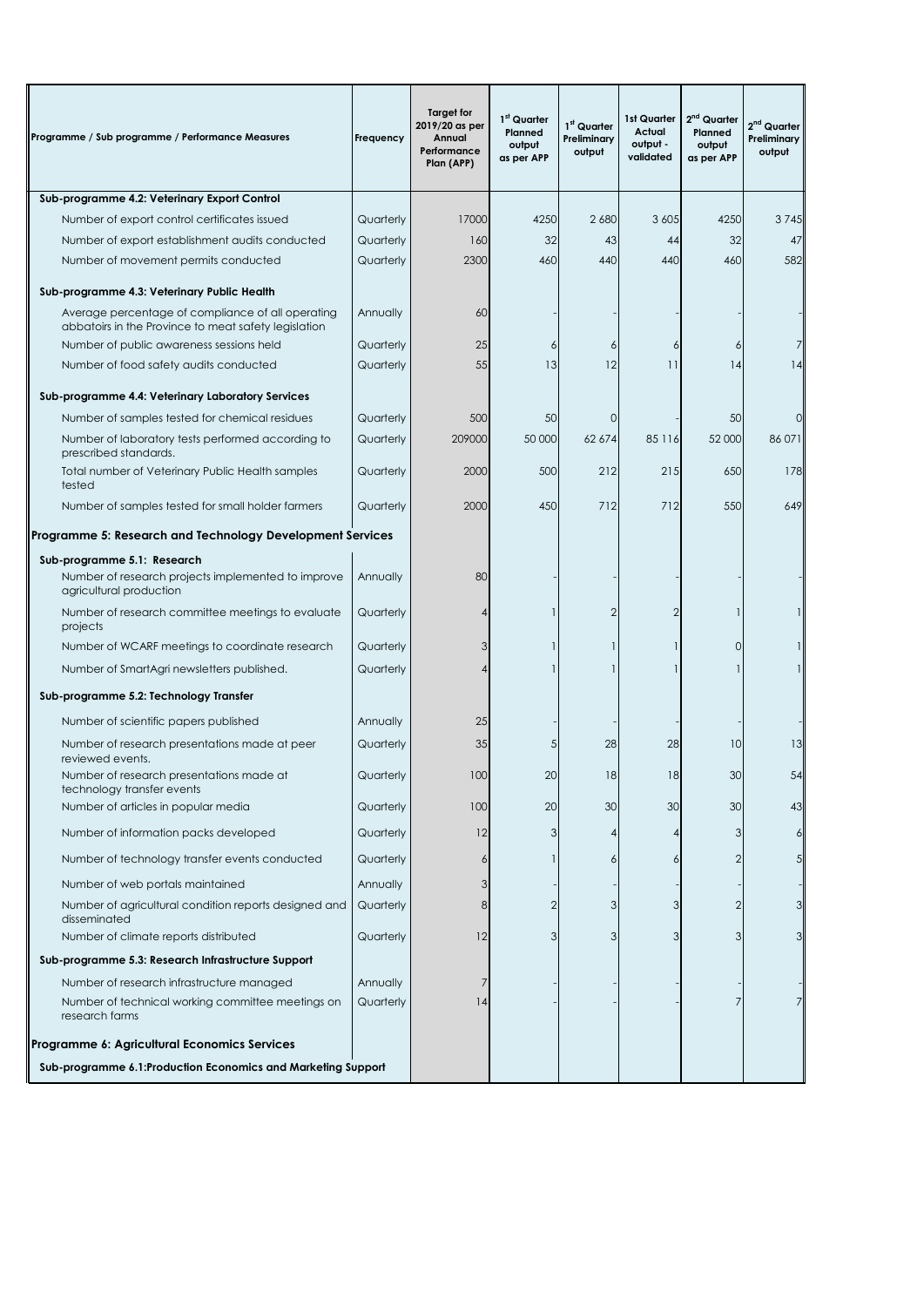| Programme / Sub programme / Performance Measures                                                          | Frequency | <b>Target for</b><br>2019/20 as per<br>Annual<br>Performance<br>Plan (APP) | 1 <sup>st</sup> Quarter<br>Planned<br>output<br>as per APP | $1st$ Quarter<br>Preliminary<br>output | 1st Quarter<br>Actual<br>output -<br>validated | 2 <sup>nd</sup> Quarter<br>Planned<br>output<br>as per APP | $2nd$ Quarter<br>Preliminary<br>output |
|-----------------------------------------------------------------------------------------------------------|-----------|----------------------------------------------------------------------------|------------------------------------------------------------|----------------------------------------|------------------------------------------------|------------------------------------------------------------|----------------------------------------|
| Sub-programme 4.2: Veterinary Export Control                                                              |           |                                                                            |                                                            |                                        |                                                |                                                            |                                        |
| Number of export control certificates issued                                                              | Quarterly | 17000                                                                      | 4250                                                       | 2680                                   | 3 6 0 5                                        | 4250                                                       | 3745                                   |
| Number of export establishment audits conducted                                                           | Quarterly | 160                                                                        | 32                                                         | 43                                     | 44                                             | 32                                                         | 47                                     |
| Number of movement permits conducted                                                                      | Quarterly | 2300                                                                       | 460                                                        | 440                                    | 440                                            | 460                                                        | 582                                    |
| Sub-programme 4.3: Veterinary Public Health                                                               |           |                                                                            |                                                            |                                        |                                                |                                                            |                                        |
| Average percentage of compliance of all operating<br>abbatoirs in the Province to meat safety legislation | Annually  | 60                                                                         |                                                            |                                        |                                                |                                                            |                                        |
| Number of public awareness sessions held                                                                  | Quarterly | 25                                                                         | 6                                                          | 6                                      | 6                                              | 6                                                          |                                        |
| Number of food safety audits conducted                                                                    | Quarterly | 55                                                                         | 13                                                         | 12                                     | 11                                             | 14                                                         | 4                                      |
| Sub-programme 4.4: Veterinary Laboratory Services                                                         |           |                                                                            |                                                            |                                        |                                                |                                                            |                                        |
| Number of samples tested for chemical residues                                                            | Quarterly | 500                                                                        | 50                                                         | 0                                      |                                                | 50                                                         | $\Omega$                               |
| Number of laboratory tests performed according to<br>prescribed standards.                                | Quarterly | 209000                                                                     | 50 000                                                     | 62 674                                 | 85 116                                         | 52 000                                                     | 86 071                                 |
| Total number of Veterinary Public Health samples<br>tested                                                | Quarterly | 2000                                                                       | 500                                                        | 212                                    | 215                                            | 650                                                        | 178                                    |
| Number of samples tested for small holder farmers                                                         | Quarterly | 2000                                                                       | 450                                                        | 712                                    | 712                                            | 550                                                        | 649                                    |
| Programme 5: Research and Technology Development Services                                                 |           |                                                                            |                                                            |                                        |                                                |                                                            |                                        |
| Sub-programme 5.1: Research                                                                               |           |                                                                            |                                                            |                                        |                                                |                                                            |                                        |
| Number of research projects implemented to improve<br>agricultural production                             | Annually  | 80                                                                         |                                                            |                                        |                                                |                                                            |                                        |
| Number of research committee meetings to evaluate<br>projects                                             | Quarterly |                                                                            |                                                            | $\overline{2}$                         | $\overline{2}$                                 |                                                            |                                        |
| Number of WCARF meetings to coordinate research                                                           | Quarterly | 3                                                                          |                                                            | -1                                     | 1                                              | $\mathbf 0$                                                |                                        |
| Number of SmartAgri newsletters published.                                                                | Quarterly |                                                                            |                                                            |                                        |                                                |                                                            |                                        |
| Sub-programme 5.2: Technology Transfer                                                                    |           |                                                                            |                                                            |                                        |                                                |                                                            |                                        |
| Number of scientific papers published                                                                     | Annually  | 25                                                                         |                                                            |                                        |                                                |                                                            |                                        |
| Number of research presentations made at peer<br>reviewed events.                                         | Quarterly | 35                                                                         | 5                                                          | 28                                     | 28                                             | 10                                                         | 13                                     |
| Number of research presentations made at<br>technology transfer events                                    | Quarterly | 100                                                                        | 20                                                         | 18                                     | 18                                             | 30                                                         | 54                                     |
| Number of articles in popular media                                                                       | Quarterly | 100                                                                        | 20                                                         | 30                                     | 30                                             | 30                                                         | 43                                     |
| Number of information packs developed                                                                     | Quarterly | 12                                                                         | 3                                                          | 4                                      | 4                                              | 3                                                          | 6                                      |
| Number of technology transfer events conducted                                                            | Quarterly |                                                                            |                                                            | 6                                      | 6                                              |                                                            | 5                                      |
| Number of web portals maintained                                                                          | Annually  |                                                                            |                                                            |                                        |                                                |                                                            |                                        |
| Number of agricultural condition reports designed and<br>disseminated                                     | Quarterly | 8                                                                          | 2                                                          | 3                                      | 3                                              | $\overline{2}$                                             | 3                                      |
| Number of climate reports distributed                                                                     | Quarterly | 12                                                                         | 3                                                          | 3                                      | 3                                              | 3                                                          | 3                                      |
| Sub-programme 5.3: Research Infrastructure Support                                                        |           |                                                                            |                                                            |                                        |                                                |                                                            |                                        |
| Number of research infrastructure managed                                                                 | Annually  |                                                                            |                                                            |                                        |                                                |                                                            |                                        |
| Number of technical working committee meetings on<br>research farms                                       | Quarterly | 14                                                                         |                                                            |                                        |                                                | 7                                                          |                                        |
| Programme 6: Agricultural Economics Services                                                              |           |                                                                            |                                                            |                                        |                                                |                                                            |                                        |
| Sub-programme 6.1:Production Economics and Marketing Support                                              |           |                                                                            |                                                            |                                        |                                                |                                                            |                                        |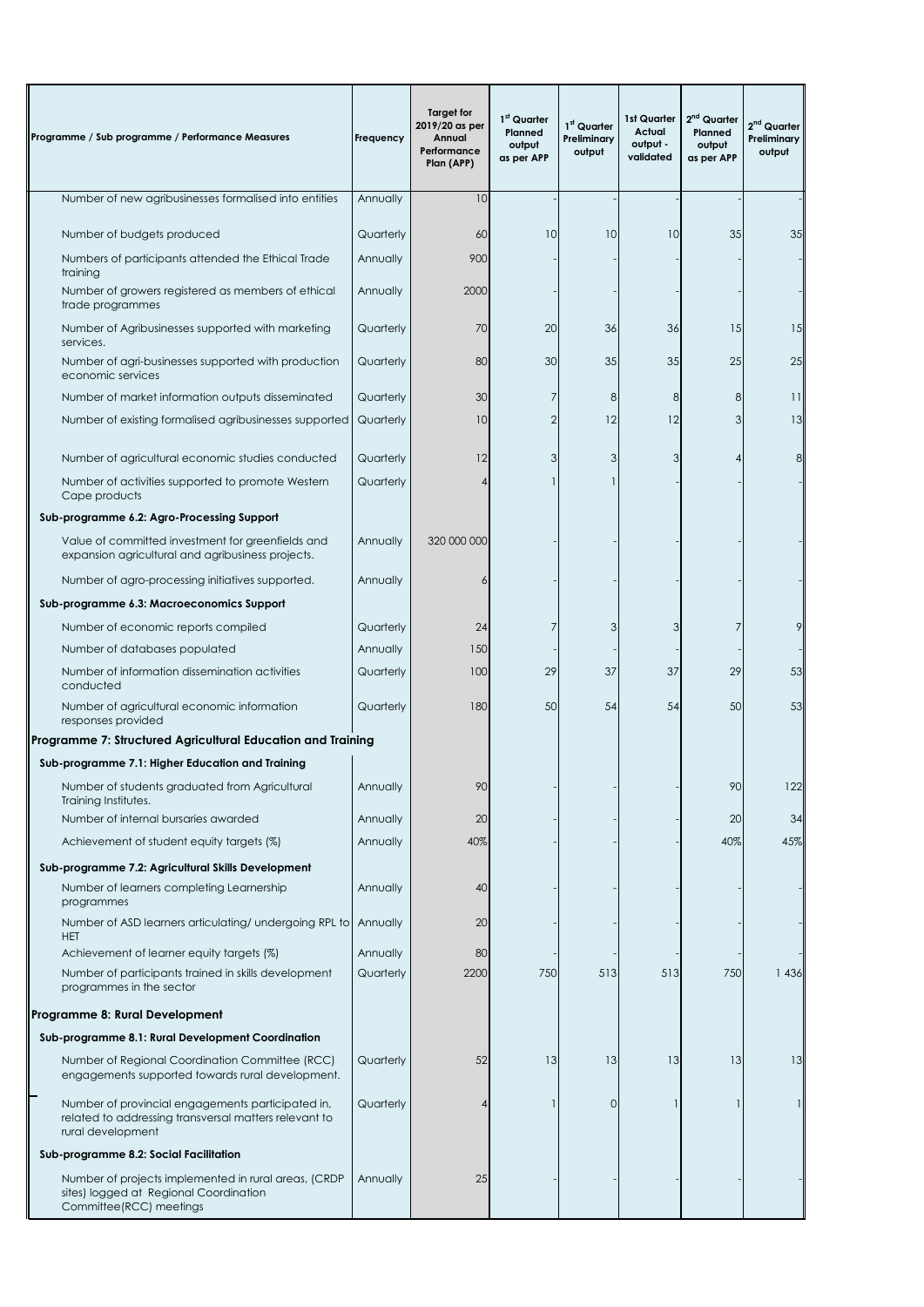| Programme / Sub programme / Performance Measures                                                                                | Frequency | <b>Target for</b><br>2019/20 as per<br>Annual<br>Performance<br>Plan (APP) | 1st Quarter<br>Planned<br>output<br>as per APP | 1 <sup>st</sup> Quarter<br>Preliminary<br>output | 1st Quarter<br>Actual<br>output -<br>validated | 2 <sup>nd</sup> Quarter<br>Planned<br>output<br>as per APP | 2 <sup>nd</sup> Quarter<br>Preliminary<br>output |
|---------------------------------------------------------------------------------------------------------------------------------|-----------|----------------------------------------------------------------------------|------------------------------------------------|--------------------------------------------------|------------------------------------------------|------------------------------------------------------------|--------------------------------------------------|
| Number of new agribusinesses formalised into entities                                                                           | Annually  | 10                                                                         |                                                |                                                  |                                                |                                                            |                                                  |
| Number of budgets produced                                                                                                      | Quarterly | 60                                                                         | 10                                             | 10                                               | 10                                             | 35                                                         | 35                                               |
| Numbers of participants attended the Ethical Trade                                                                              | Annually  | 900                                                                        |                                                |                                                  |                                                |                                                            |                                                  |
| training                                                                                                                        |           |                                                                            |                                                |                                                  |                                                |                                                            |                                                  |
| Number of growers registered as members of ethical<br>trade programmes                                                          | Annually  | 2000                                                                       |                                                |                                                  |                                                |                                                            |                                                  |
| Number of Agribusinesses supported with marketing<br>services.                                                                  | Quarterly | 70                                                                         | 20                                             | 36                                               | 36                                             | 15                                                         | 15                                               |
| Number of agri-businesses supported with production<br>economic services                                                        | Quarterly | 80                                                                         | 30                                             | 35                                               | 35                                             | 25                                                         | 25                                               |
| Number of market information outputs disseminated                                                                               | Quarterly | 30                                                                         | 7                                              | 8                                                | 8                                              | 8                                                          | $\overline{11}$                                  |
| Number of existing formalised agribusinesses supported                                                                          | Quarterly | 10                                                                         | $\overline{2}$                                 | 12                                               | 12                                             | 3                                                          | 13                                               |
|                                                                                                                                 |           |                                                                            |                                                |                                                  |                                                |                                                            |                                                  |
| Number of agricultural economic studies conducted                                                                               | Quarterly | 12                                                                         | 3                                              | 3<br>$\mathbf{1}$                                | 3                                              | 4                                                          | 8                                                |
| Number of activities supported to promote Western<br>Cape products                                                              | Quarterly |                                                                            |                                                |                                                  |                                                |                                                            |                                                  |
| Sub-programme 6.2: Agro-Processing Support                                                                                      |           |                                                                            |                                                |                                                  |                                                |                                                            |                                                  |
| Value of committed investment for greenfields and<br>expansion agricultural and agribusiness projects.                          | Annually  | 320 000 000                                                                |                                                |                                                  |                                                |                                                            |                                                  |
| Number of agro-processing initiatives supported.                                                                                | Annually  |                                                                            |                                                |                                                  |                                                |                                                            |                                                  |
| Sub-programme 6.3: Macroeconomics Support                                                                                       |           |                                                                            |                                                |                                                  |                                                |                                                            |                                                  |
| Number of economic reports compiled                                                                                             | Quarterly | 24                                                                         | 7                                              | 3                                                | 3                                              | 7                                                          | 9                                                |
| Number of databases populated                                                                                                   | Annually  | 150                                                                        |                                                |                                                  |                                                |                                                            |                                                  |
| Number of information dissemination activities<br>conducted                                                                     | Quarterly | 100                                                                        | 29                                             | 37                                               | 37                                             | 29                                                         | 53                                               |
| Number of agricultural economic information<br>responses provided                                                               | Quarterly | 180                                                                        | 50                                             | 54                                               | 54                                             | 50                                                         | 53                                               |
| Programme 7: Structured Agricultural Education and Training                                                                     |           |                                                                            |                                                |                                                  |                                                |                                                            |                                                  |
| Sub-programme 7.1: Higher Education and Training                                                                                |           |                                                                            |                                                |                                                  |                                                |                                                            |                                                  |
| Number of students graduated from Agricultural<br>Training Institutes.                                                          | Annually  | 90                                                                         |                                                |                                                  |                                                | 90                                                         | 122                                              |
| Number of internal bursaries awarded                                                                                            | Annually  | 20                                                                         |                                                |                                                  |                                                | 20                                                         | 34                                               |
| Achievement of student equity targets (%)                                                                                       | Annually  | 40%                                                                        |                                                |                                                  |                                                | 40%                                                        | 45%                                              |
| Sub-programme 7.2: Agricultural Skills Development                                                                              |           |                                                                            |                                                |                                                  |                                                |                                                            |                                                  |
| Number of learners completing Learnership<br>programmes                                                                         | Annually  | 40                                                                         |                                                |                                                  |                                                |                                                            |                                                  |
| Number of ASD learners articulating/ undergoing RPL to<br><b>HET</b>                                                            | Annually  | 20                                                                         |                                                |                                                  |                                                |                                                            |                                                  |
| Achievement of learner equity targets (%)                                                                                       | Annually  | 80                                                                         |                                                |                                                  |                                                |                                                            |                                                  |
| Number of participants trained in skills development<br>programmes in the sector                                                | Quarterly | 2200                                                                       | 750                                            | 513                                              | 513                                            | 750                                                        | 1 4 3 6                                          |
| Programme 8: Rural Development                                                                                                  |           |                                                                            |                                                |                                                  |                                                |                                                            |                                                  |
| Sub-programme 8.1: Rural Development Coordination                                                                               |           |                                                                            |                                                |                                                  |                                                |                                                            |                                                  |
| Number of Regional Coordination Committee (RCC)<br>engagements supported towards rural development.                             | Quarterly | 52                                                                         | 13                                             | 13                                               | 13                                             | 13                                                         | 13                                               |
| Number of provincial engagements participated in,<br>related to addressing transversal matters relevant to<br>rural development | Quarterly |                                                                            |                                                | 0                                                |                                                |                                                            |                                                  |
| Sub-programme 8.2: Social Facilitation                                                                                          |           |                                                                            |                                                |                                                  |                                                |                                                            |                                                  |
| Number of projects implemented in rural areas, (CRDP<br>sites) logged at Regional Coordination<br>Committee(RCC) meetings       | Annually  | 25                                                                         |                                                |                                                  |                                                |                                                            |                                                  |